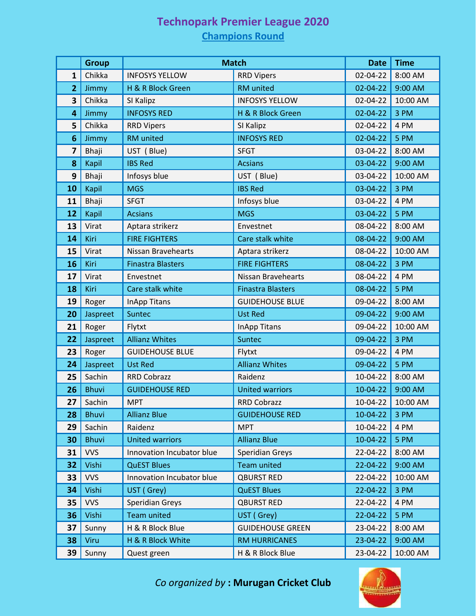## **Technopark Premier League 2020**

## **Champions Round**

|                         | <b>Group</b> | <b>Match</b>              |                           | <b>Date</b>    | <b>Time</b> |
|-------------------------|--------------|---------------------------|---------------------------|----------------|-------------|
| 1                       | Chikka       | <b>INFOSYS YELLOW</b>     | <b>RRD Vipers</b>         | 02-04-22       | 8:00 AM     |
| $\overline{2}$          | Jimmy        | H & R Block Green         | RM united                 | 02-04-22       | 9:00 AM     |
| 3                       | Chikka       | SI Kalipz                 | <b>INFOSYS YELLOW</b>     | 02-04-22       | 10:00 AM    |
| 4                       | Jimmy        | <b>INFOSYS RED</b>        | H & R Block Green         | 02-04-22       | 3 PM        |
| 5                       | Chikka       | <b>RRD Vipers</b>         | SI Kalipz                 | 02-04-22       | 4 PM        |
| 6                       | Jimmy        | RM united                 | <b>INFOSYS RED</b>        | 02-04-22       | 5 PM        |
| $\overline{\mathbf{z}}$ | Bhaji        | UST (Blue)                | <b>SFGT</b>               | 03-04-22       | 8:00 AM     |
| 8                       | Kapil        | <b>IBS Red</b>            | <b>Acsians</b>            | 03-04-22       | 9:00 AM     |
| 9                       | Bhaji        | Infosys blue              | UST (Blue)                | 03-04-22       | 10:00 AM    |
| 10                      | Kapil        | <b>MGS</b>                | <b>IBS Red</b>            | 03-04-22       | 3 PM        |
| 11                      | Bhaji        | <b>SFGT</b>               | Infosys blue              | 03-04-22       | 4 PM        |
| 12                      | <b>Kapil</b> | <b>Acsians</b>            | <b>MGS</b>                | 03-04-22       | 5 PM        |
| 13                      | Virat        | Aptara strikerz           | Envestnet                 | 08-04-22       | 8:00 AM     |
| 14                      | Kiri         | <b>FIRE FIGHTERS</b>      | Care stalk white          | 08-04-22       | 9:00 AM     |
| 15                      | Virat        | Nissan Bravehearts        | Aptara strikerz           | 08-04-22       | 10:00 AM    |
| 16                      | Kiri         | <b>Finastra Blasters</b>  | <b>FIRE FIGHTERS</b>      | 08-04-22       | 3 PM        |
| 17                      | Virat        | Envestnet                 | <b>Nissan Bravehearts</b> | 08-04-22       | 4 PM        |
| 18                      | Kiri         | Care stalk white          | <b>Finastra Blasters</b>  | 08-04-22       | 5 PM        |
| 19                      | Roger        | <b>InApp Titans</b>       | <b>GUIDEHOUSE BLUE</b>    | 09-04-22       | 8:00 AM     |
| 20                      | Jaspreet     | Suntec                    | <b>Ust Red</b>            | 09-04-22       | 9:00 AM     |
| 21                      | Roger        | Flytxt                    | <b>InApp Titans</b>       | 09-04-22       | 10:00 AM    |
| 22                      | Jaspreet     | <b>Allianz Whites</b>     | <b>Suntec</b>             | 09-04-22       | 3 PM        |
| 23                      | Roger        | <b>GUIDEHOUSE BLUE</b>    | Flytxt                    | 09-04-22       | 4 PM        |
| 24                      | Jaspreet     | <b>Ust Red</b>            | <b>Allianz Whites</b>     | 09-04-22       | 5 PM        |
| 25                      | Sachin       | <b>RRD Cobrazz</b>        | Raidenz                   | 10-04-22       | 8:00 AM     |
| 26                      | <b>Bhuvi</b> | <b>GUIDEHOUSE RED</b>     | <b>United warriors</b>    | 10-04-22       | 9:00 AM     |
| 27                      | Sachin       | <b>MPT</b>                | RRD Cobrazz               | 10-04-22       | 10:00 AM    |
| 28                      | <b>Bhuvi</b> | <b>Allianz Blue</b>       | <b>GUIDEHOUSE RED</b>     | 10-04-22       | 3 PM        |
| 29                      | Sachin       | Raidenz                   | <b>MPT</b>                | 10-04-22       | 4 PM        |
| 30                      | <b>Bhuvi</b> | <b>United warriors</b>    | <b>Allianz Blue</b>       | 10-04-22       | 5 PM        |
| 31                      | <b>VVS</b>   | Innovation Incubator blue | <b>Speridian Greys</b>    | 22-04-22       | 8:00 AM     |
| 32                      | Vishi        | <b>QuEST Blues</b>        | <b>Team united</b>        | 22-04-22       | 9:00 AM     |
| 33                      | <b>VVS</b>   | Innovation Incubator blue | <b>QBURST RED</b>         | 22-04-22       | 10:00 AM    |
| 34                      | Vishi        | UST (Grey)                | <b>QuEST Blues</b>        | $22 - 04 - 22$ | 3 PM        |
| 35                      | <b>VVS</b>   | <b>Speridian Greys</b>    | <b>QBURST RED</b>         | 22-04-22       | 4 PM        |
| 36                      | Vishi        | <b>Team united</b>        | UST (Grey)                | 22-04-22       | 5 PM        |
| 37                      | Sunny        | H & R Block Blue          | <b>GUIDEHOUSE GREEN</b>   | 23-04-22       | 8:00 AM     |
| 38                      | Viru         | H & R Block White         | <b>RM HURRICANES</b>      | 23-04-22       | 9:00 AM     |
| 39                      | Sunny        | Quest green               | H & R Block Blue          | 23-04-22       | 10:00 AM    |

*Co organized by* **: Murugan Cricket Club**